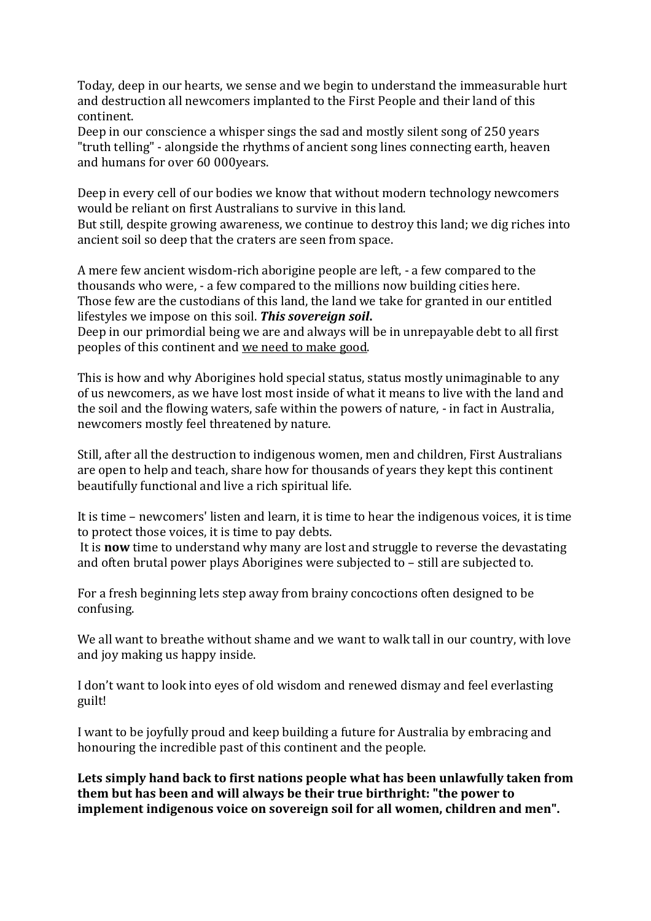Today, deep in our hearts, we sense and we begin to understand the immeasurable hurt and destruction all newcomers implanted to the First People and their land of this continent.

Deep in our conscience a whisper sings the sad and mostly silent song of 250 years "truth telling" - alongside the rhythms of ancient song lines connecting earth, heaven and humans for over 60 000years.

Deep in every cell of our bodies we know that without modern technology newcomers would be reliant on first Australians to survive in this land.

But still, despite growing awareness, we continue to destroy this land; we dig riches into ancient soil so deep that the craters are seen from space.

A mere few ancient wisdom-rich aborigine people are left, - a few compared to the thousands who were, - a few compared to the millions now building cities here. Those few are the custodians of this land, the land we take for granted in our entitled lifestyles we impose on this soil. *This sovereign soil***.**

Deep in our primordial being we are and always will be in unrepayable debt to all first peoples of this continent and we need to make good.

This is how and why Aborigines hold special status, status mostly unimaginable to any of us newcomers, as we have lost most inside of what it means to live with the land and the soil and the flowing waters, safe within the powers of nature, - in fact in Australia, newcomers mostly feel threatened by nature.

Still, after all the destruction to indigenous women, men and children, First Australians are open to help and teach, share how for thousands of years they kept this continent beautifully functional and live a rich spiritual life.

It is time – newcomers' listen and learn, it is time to hear the indigenous voices, it is time to protect those voices, it is time to pay debts.

It is **now** time to understand why many are lost and struggle to reverse the devastating and often brutal power plays Aborigines were subjected to – still are subjected to.

For a fresh beginning lets step away from brainy concoctions often designed to be confusing.

We all want to breathe without shame and we want to walk tall in our country, with love and joy making us happy inside.

I don't want to look into eyes of old wisdom and renewed dismay and feel everlasting guilt!

I want to be joyfully proud and keep building a future for Australia by embracing and honouring the incredible past of this continent and the people.

**Lets simply hand back to first nations people what has been unlawfully taken from them but has been and will always be their true birthright: "the power to implement indigenous voice on sovereign soil for all women, children and men".**